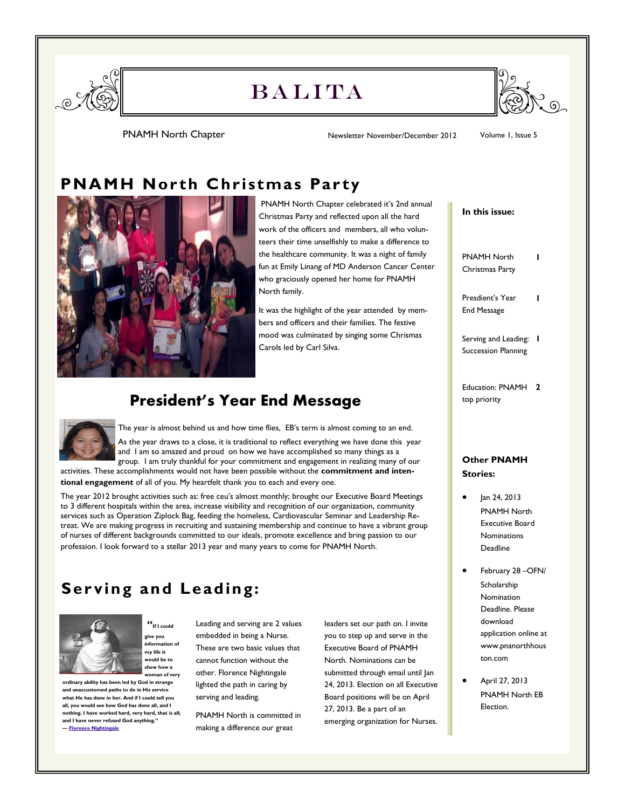

# **BALITA**



PNAMH North Chapter **Newsletter November/December 2012** Volume 1, Issue 5

### **PNAMH North Christmas Party**



PNAMH North Chapter celebrated it's 2nd annual Christmas Party and reflected upon all the hard work of the officers and members, all who volunteers their time unselfishly to make a difference to the healthcare community. It was a night of family fun at Emily Linang of MD Anderson Cancer Center who graciously opened her home for PNAMH North family.

It was the highlight of the year attended by members and officers and their families. The festive mood was culminated by singing some Chrismas Carols led by Carl Silva.

#### **President's Year End Message**



The year is almost behind us and how time flies, EB's term is almost coming to an end. As the year draws to a close, it is traditional to reflect everything we have done this year and I am so amazed and proud on how we have accomplished so many things as a group. I am truly thankful for your commitment and engagement in realizing many of our

activities. These accomplishments would not have been possible without the **commitment and intentional engagement** of all of you. My heartfelt thank you to each and every one.

The year 2012 brought activities such as: free ceu's almost monthly; brought our Executive Board Meetings to 3 different hospitals within the area, increase visibility and recognition of our organization, community services such as Operation Ziplock Bag, feeding the homeless, Cardiovascular Seminar and Leadership Retreat. We are making progress in recruiting and sustaining membership and continue to have a vibrant group of nurses of different backgrounds committed to our ideals, promote excellence and bring passion to our profession. I look forward to a stellar 2013 year and many years to come for PNAMH North.

### **Ser ving and Leading:**

**"If I could give you information of my life it would be to show how a woman of very** 



**ordinary ability has been led by God in strange and unaccustomed paths to do in His service what He has done in her. And if I could tell you all, you would see how God has done all, and I nothing. I have worked hard, very hard, that is all; and I have never refused God anything." ― [Florence Nightingale](http://www.goodreads.com/author/show/63031.Florence_Nightingale)**

Leading and serving are 2 values embedded in being a Nurse. These are two basic values that cannot function without the other. Florence Nightingale lighted the path in caring by serving and leading.

PNAMH North is committed in making a difference our great

leaders set our path on. I invite you to step up and serve in the Executive Board of PNAMH North. Nominations can be submitted through email until Jan 24, 2013. Election on all Executive Board positions will be on April 27, 2013. Be a part of an emerging organization for Nurses.

## **Other PNAMH Stories:** Jan 24, 2013 **In this issue:** PNAMH North Christmas Party **1** Presdient's Year End Message **1** Serving and Leading: **1** Succession Planning Education: PNAMH **2** top priority

- PNAMH North Executive Board Nominations Deadline
- February 28 –OFN/ Scholarship Nomination Deadline. Please download application online at www.pnanorthhous ton.com
- April 27, 2013 PNAMH North EB Election.